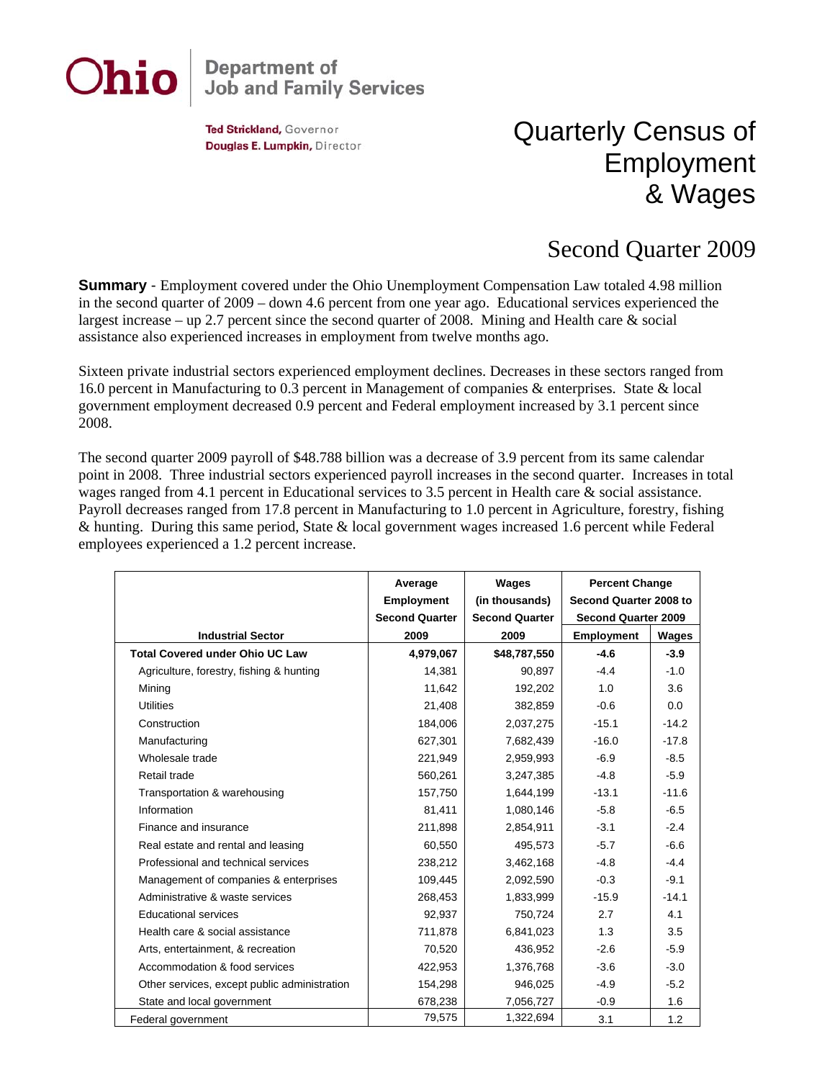

## **Department of<br>Job and Family Services**

Ted Strickland, Governor Douglas E. Lumpkin, Director

## Quarterly Census of Employment & Wages

## Second Quarter 2009

**Summary** - Employment covered under the Ohio Unemployment Compensation Law totaled 4.98 million in the second quarter of 2009 – down 4.6 percent from one year ago. Educational services experienced the largest increase – up 2.7 percent since the second quarter of 2008. Mining and Health care  $\&$  social assistance also experienced increases in employment from twelve months ago.

Sixteen private industrial sectors experienced employment declines. Decreases in these sectors ranged from 16.0 percent in Manufacturing to 0.3 percent in Management of companies & enterprises. State & local government employment decreased 0.9 percent and Federal employment increased by 3.1 percent since 2008.

The second quarter 2009 payroll of \$48.788 billion was a decrease of 3.9 percent from its same calendar point in 2008. Three industrial sectors experienced payroll increases in the second quarter. Increases in total wages ranged from 4.1 percent in Educational services to 3.5 percent in Health care & social assistance. Payroll decreases ranged from 17.8 percent in Manufacturing to 1.0 percent in Agriculture, forestry, fishing & hunting. During this same period, State & local government wages increased 1.6 percent while Federal employees experienced a 1.2 percent increase.

|                                              | Average               | Wages                 | <b>Percent Change</b><br>Second Quarter 2008 to<br><b>Second Quarter 2009</b> |         |
|----------------------------------------------|-----------------------|-----------------------|-------------------------------------------------------------------------------|---------|
|                                              | Employment            | (in thousands)        |                                                                               |         |
|                                              | <b>Second Quarter</b> | <b>Second Quarter</b> |                                                                               |         |
| <b>Industrial Sector</b>                     | 2009                  | 2009                  | <b>Employment</b>                                                             | Wages   |
| <b>Total Covered under Ohio UC Law</b>       | 4,979,067             | \$48,787,550          | $-4.6$                                                                        | $-3.9$  |
| Agriculture, forestry, fishing & hunting     | 14,381                | 90.897                | $-4.4$                                                                        | $-1.0$  |
| Mining                                       | 11,642                | 192,202               | 1.0                                                                           | 3.6     |
| <b>Utilities</b>                             | 21,408                | 382,859               | $-0.6$                                                                        | 0.0     |
| Construction                                 | 184,006               | 2,037,275             | $-15.1$                                                                       | $-14.2$ |
| Manufacturing                                | 627,301               | 7,682,439             | $-16.0$                                                                       | $-17.8$ |
| Wholesale trade                              | 221,949               | 2,959,993             | $-6.9$                                                                        | $-8.5$  |
| Retail trade                                 | 560,261               | 3,247,385             | $-4.8$                                                                        | $-5.9$  |
| Transportation & warehousing                 | 157,750               | 1,644,199             | $-13.1$                                                                       | $-11.6$ |
| Information                                  | 81,411                | 1,080,146             | $-5.8$                                                                        | $-6.5$  |
| Finance and insurance                        | 211,898               | 2,854,911             | $-3.1$                                                                        | $-2.4$  |
| Real estate and rental and leasing           | 60.550                | 495.573               | $-5.7$                                                                        | $-6.6$  |
| Professional and technical services          | 238,212               | 3,462,168             | $-4.8$                                                                        | $-4.4$  |
| Management of companies & enterprises        | 109,445               | 2,092,590             | $-0.3$                                                                        | $-9.1$  |
| Administrative & waste services              | 268,453               | 1,833,999             | $-15.9$                                                                       | $-14.1$ |
| <b>Educational services</b>                  | 92,937                | 750,724               | 2.7                                                                           | 4.1     |
| Health care & social assistance              | 711,878               | 6,841,023             | 1.3                                                                           | 3.5     |
| Arts, entertainment, & recreation            | 70,520                | 436,952               | $-2.6$                                                                        | $-5.9$  |
| Accommodation & food services                | 422,953               | 1,376,768             | $-3.6$                                                                        | $-3.0$  |
| Other services, except public administration | 154,298               | 946,025               | $-4.9$                                                                        | $-5.2$  |
| State and local government                   | 678,238               | 7,056,727             | $-0.9$                                                                        | 1.6     |
| Federal government                           | 79,575                | 1,322,694             | 3.1                                                                           | 1.2     |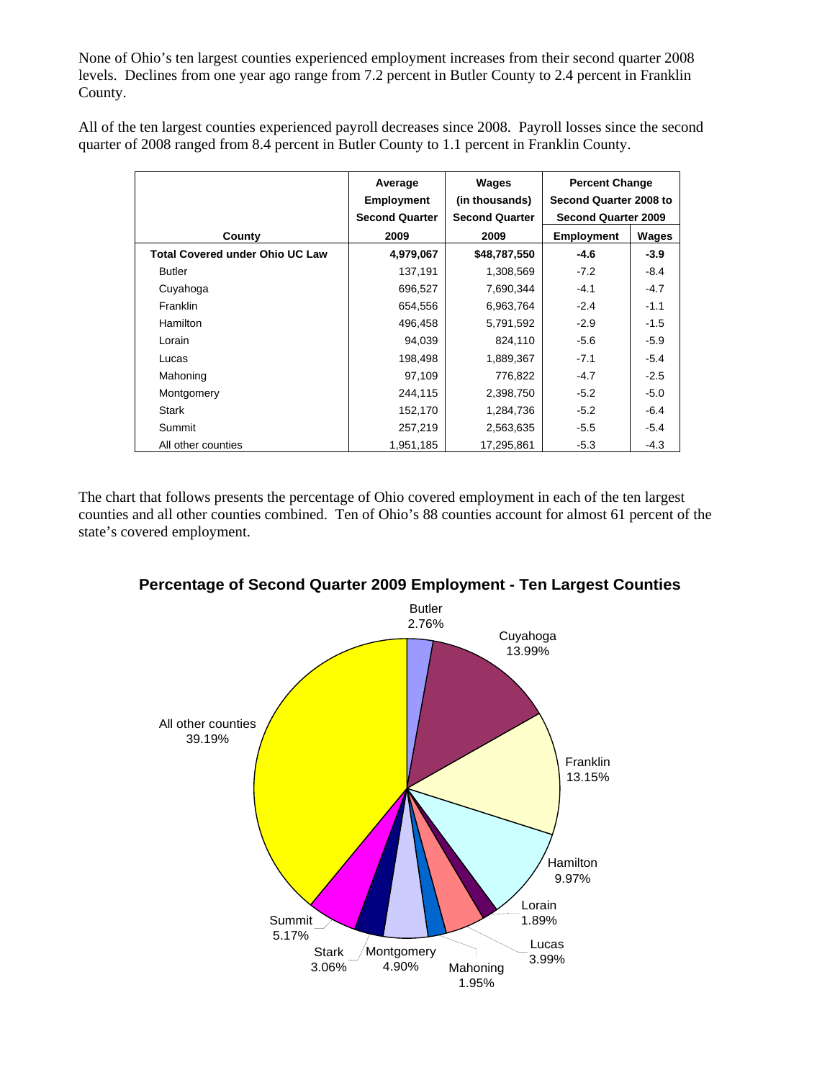None of Ohio's ten largest counties experienced employment increases from their second quarter 2008 levels. Declines from one year ago range from 7.2 percent in Butler County to 2.4 percent in Franklin County.

All of the ten largest counties experienced payroll decreases since 2008. Payroll losses since the second quarter of 2008 ranged from 8.4 percent in Butler County to 1.1 percent in Franklin County.

|                                        | Average<br><b>Employment</b> | Wages<br>(in thousands) | <b>Percent Change</b><br>Second Quarter 2008 to |        |
|----------------------------------------|------------------------------|-------------------------|-------------------------------------------------|--------|
|                                        | <b>Second Quarter</b>        | <b>Second Quarter</b>   | <b>Second Quarter 2009</b>                      |        |
| County                                 | 2009                         | 2009                    | <b>Employment</b>                               | Wages  |
| <b>Total Covered under Ohio UC Law</b> | 4,979,067                    | \$48,787,550            | $-4.6$                                          | $-3.9$ |
| <b>Butler</b>                          | 137,191                      | 1,308,569               | $-7.2$                                          | $-8.4$ |
| Cuyahoga                               | 696,527                      | 7,690,344               | $-4.1$                                          | $-4.7$ |
| Franklin                               | 654,556                      | 6,963,764               | $-2.4$                                          | $-1.1$ |
| <b>Hamilton</b>                        | 496,458                      | 5,791,592               | $-2.9$                                          | $-1.5$ |
| Lorain                                 | 94.039                       | 824,110                 | $-5.6$                                          | $-5.9$ |
| Lucas                                  | 198,498                      | 1,889,367               | $-7.1$                                          | $-5.4$ |
| Mahoning                               | 97,109                       | 776,822                 | $-4.7$                                          | $-2.5$ |
| Montgomery                             | 244,115                      | 2,398,750               | $-5.2$                                          | $-5.0$ |
| <b>Stark</b>                           | 152,170                      | 1,284,736               | $-5.2$                                          | $-6.4$ |
| Summit                                 | 257,219                      | 2,563,635               | $-5.5$                                          | $-5.4$ |
| All other counties                     | 1,951,185                    | 17,295,861              | $-5.3$                                          | $-4.3$ |

The chart that follows presents the percentage of Ohio covered employment in each of the ten largest counties and all other counties combined. Ten of Ohio's 88 counties account for almost 61 percent of the state's covered employment.



**Percentage of Second Quarter 2009 Employment - Ten Largest Counties**